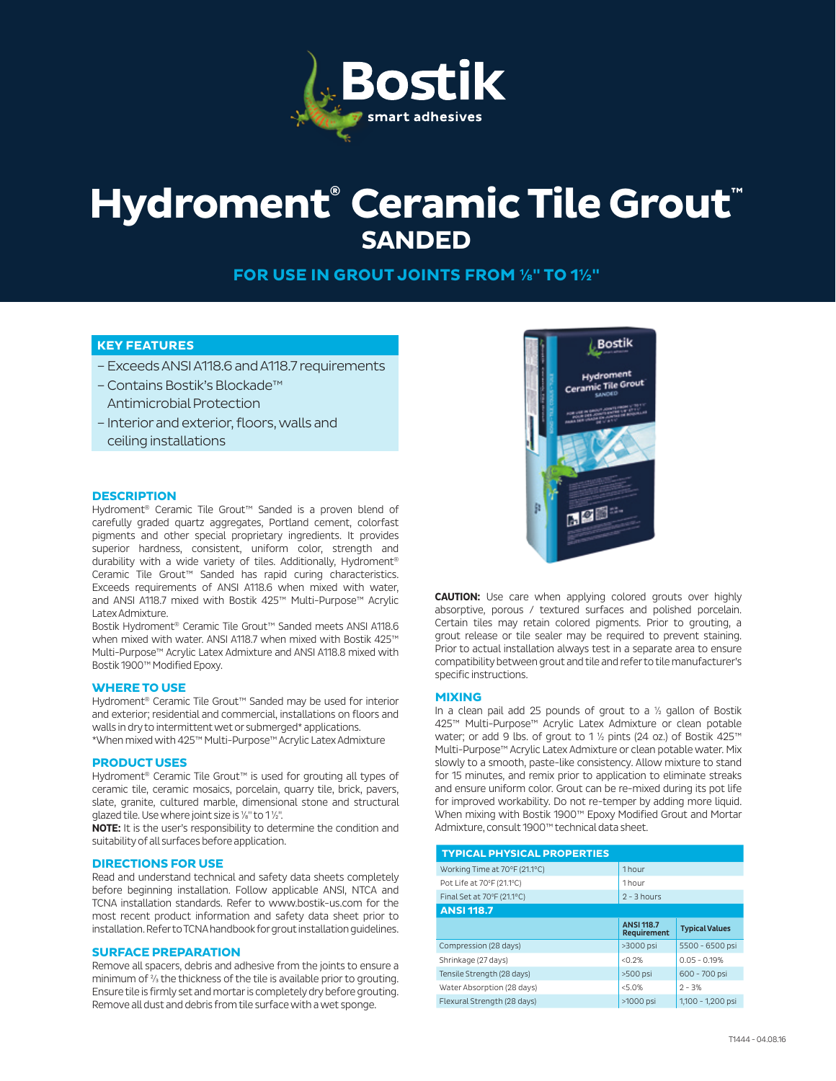

# **Hydroment® Ceramic Tile Grout™ SANDED**

**FOR USE IN GROUT JOINTS FROM ⅛" TO 1½"**

### **KEY FEATURES**

- Exceeds ANSI A118.6 and A118.7 requirements
- Contains Bostik's Blockade™ Antimicrobial Protection
- Interior and exterior, floors, walls and ceiling installations

#### **DESCRIPTION**

Hydroment® Ceramic Tile Grout™ Sanded is a proven blend of carefully graded quartz aggregates, Portland cement, colorfast pigments and other special proprietary ingredients. It provides superior hardness, consistent, uniform color, strength and durability with a wide variety of tiles. Additionally, Hydroment® Ceramic Tile Grout™ Sanded has rapid curing characteristics. Exceeds requirements of ANSI A118.6 when mixed with water, and ANSI A118.7 mixed with Bostik 425™ Multi-Purpose™ Acrylic Latex Admixture.

Bostik Hydroment® Ceramic Tile Grout™ Sanded meets ANSI A118.6 when mixed with water. ANSI A118.7 when mixed with Bostik 425™ Multi-Purpose™ Acrylic Latex Admixture and ANSI A118.8 mixed with Bostik 1900™ Modified Epoxy.

#### **WHERE TO USE**

Hydroment® Ceramic Tile Grout™ Sanded may be used for interior and exterior; residential and commercial, installations on floors and walls in dry to intermittent wet or submerged\* applications. \*When mixed with 425™ Multi-Purpose™ Acrylic Latex Admixture

#### **PRODUCT USES**

Hydroment® Ceramic Tile Grout™ is used for grouting all types of ceramic tile, ceramic mosaics, porcelain, quarry tile, brick, pavers, slate, granite, cultured marble, dimensional stone and structural glazed tile. Use where joint size is ⅛" to 1 ½".

**NOTE:** It is the user's responsibility to determine the condition and suitability of all surfaces before application.

#### **DIRECTIONS FOR USE**

Read and understand technical and safety data sheets completely before beginning installation. Follow applicable ANSI, NTCA and TCNA installation standards. Refer to www.bostik-us.com for the most recent product information and safety data sheet prior to installation. Refer to TCNA handbook for grout installation guidelines.

#### **SURFACE PREPARATION**

Remove all spacers, debris and adhesive from the joints to ensure a minimum of ⅔ the thickness of the tile is available prior to grouting. Ensure tile is firmly set and mortar is completely dry before grouting. Remove all dust and debris from tile surface with a wet sponge.



**CAUTION:** Use care when applying colored grouts over highly absorptive, porous / textured surfaces and polished porcelain. Certain tiles may retain colored pigments. Prior to grouting, a grout release or tile sealer may be required to prevent staining. Prior to actual installation always test in a separate area to ensure compatibility between grout and tile and refer to tile manufacturer's specific instructions.

#### **MIXING**

In a clean pail add 25 pounds of grout to a ½ gallon of Bostik 425™ Multi-Purpose™ Acrylic Latex Admixture or clean potable water; or add 9 lbs. of grout to 1 ½ pints (24 oz.) of Bostik 425™ Multi-Purpose™ Acrylic Latex Admixture or clean potable water. Mix slowly to a smooth, paste-like consistency. Allow mixture to stand for 15 minutes, and remix prior to application to eliminate streaks and ensure uniform color. Grout can be re-mixed during its pot life for improved workability. Do not re-temper by adding more liquid. When mixing with Bostik 1900™ Epoxy Modified Grout and Mortar Admixture, consult 1900™ technical data sheet.

| <b>TYPICAL PHYSICAL PROPERTIES</b> |                   |                       |  |  |  |
|------------------------------------|-------------------|-----------------------|--|--|--|
| Working Time at 70°F (21.1°C)      | 1 <sub>hour</sub> |                       |  |  |  |
| Pot Life at 70°F (21.1°C)          | 1 <sub>hour</sub> |                       |  |  |  |
| Final Set at 70°F (21.1°C)         | $2 - 3$ hours     |                       |  |  |  |
| <b>ANSI 118.7</b>                  |                   |                       |  |  |  |
|                                    | <b>ANSI 118.7</b> | <b>Typical Values</b> |  |  |  |
|                                    | Requirement       |                       |  |  |  |
| Compression (28 days)              | >3000 psi         | 5500 - 6500 psi       |  |  |  |
| Shrinkage (27 days)                | < 0.2%            | $0.05 - 0.19%$        |  |  |  |
| Tensile Strength (28 days)         | >500 psi          | 600 - 700 psi         |  |  |  |
| Water Absorption (28 days)         | < 5.0%            | $2 - 3%$              |  |  |  |